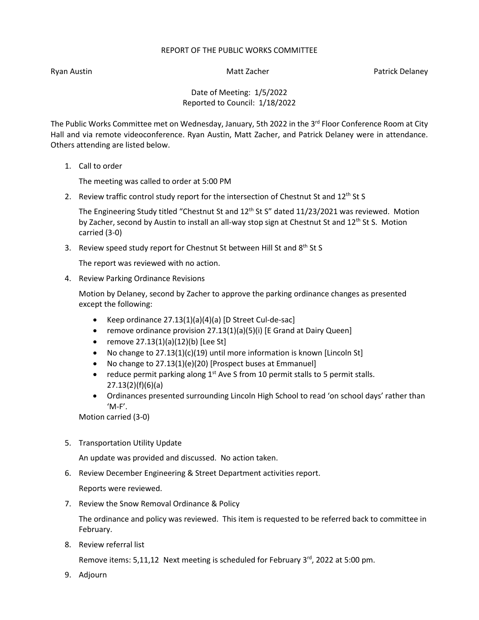## REPORT OF THE PUBLIC WORKS COMMITTEE

Ryan Austin Nation Matt Zacher Patrick Delaney National Australian Matt Zacher Patrick Delaney

Date of Meeting: 1/5/2022 Reported to Council: 1/18/2022

The Public Works Committee met on Wednesday, January, 5th 2022 in the 3<sup>rd</sup> Floor Conference Room at City Hall and via remote videoconference. Ryan Austin, Matt Zacher, and Patrick Delaney were in attendance. Others attending are listed below.

1. Call to order

The meeting was called to order at 5:00 PM

2. Review traffic control study report for the intersection of Chestnut St and  $12^{th}$  St S

The Engineering Study titled "Chestnut St and  $12<sup>th</sup>$  St S" dated  $11/23/2021$  was reviewed. Motion by Zacher, second by Austin to install an all-way stop sign at Chestnut St and 12<sup>th</sup> St S. Motion carried (3-0)

3. Review speed study report for Chestnut St between Hill St and 8<sup>th</sup> St S

The report was reviewed with no action.

4. Review Parking Ordinance Revisions

Motion by Delaney, second by Zacher to approve the parking ordinance changes as presented except the following:

- Keep ordinance 27.13(1)(a)(4)(a) [D Street Cul-de-sac]
- remove ordinance provision 27.13(1)(a)(5)(i) [E Grand at Dairy Queen]
- remove 27.13(1)(a)(12)(b) [Lee St]
- No change to 27.13(1)(c)(19) until more information is known [Lincoln St]
- No change to 27.13(1)(e)(20) [Prospect buses at Emmanuel]
- reduce permit parking along  $1<sup>st</sup>$  Ave S from 10 permit stalls to 5 permit stalls. 27.13(2)(f)(6)(a)
- Ordinances presented surrounding Lincoln High School to read 'on school days' rather than  $'M-F'$ .

Motion carried (3-0)

5. Transportation Utility Update

An update was provided and discussed. No action taken.

6. Review December Engineering & Street Department activities report.

Reports were reviewed.

7. Review the Snow Removal Ordinance & Policy

The ordinance and policy was reviewed. This item is requested to be referred back to committee in February.

8. Review referral list

Remove items: 5,11,12 Next meeting is scheduled for February 3<sup>rd</sup>, 2022 at 5:00 pm.

9. Adjourn